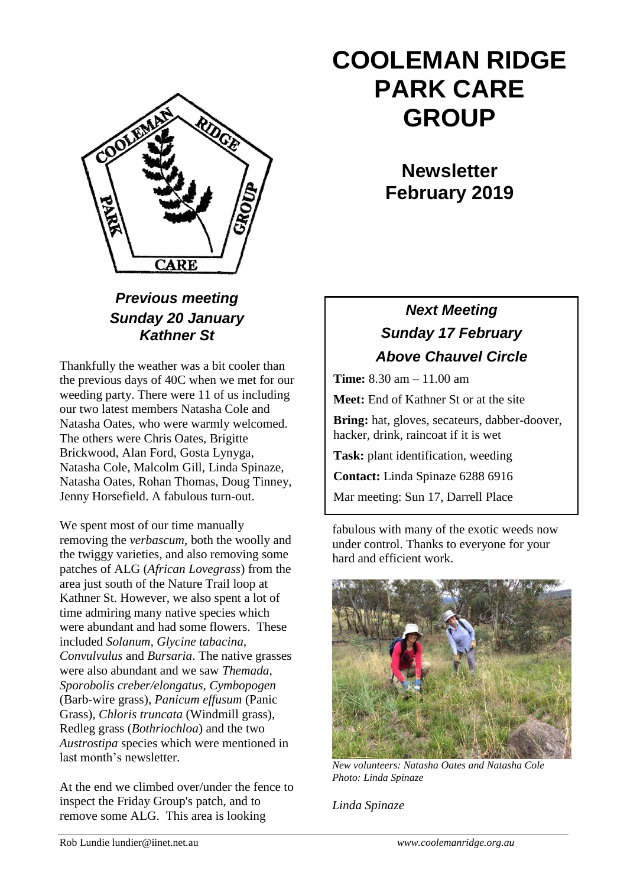

### *Previous meeting Sunday 20 January Kathner St*

Thankfully the weather was a bit cooler than the previous days of 40C when we met for our weeding party. There were 11 of us including our two latest members Natasha Cole and Natasha Oates, who were warmly welcomed. The others were Chris Oates, Brigitte Brickwood, Alan Ford, Gosta Lynyga, Natasha Cole, Malcolm Gill, Linda Spinaze, Natasha Oates, Rohan Thomas, Doug Tinney, Jenny Horsefield. A fabulous turn-out.

We spent most of our time manually removing the *verbascum*, both the woolly and the twiggy varieties, and also removing some patches of ALG (*African Lovegrass*) from the area just south of the Nature Trail loop at Kathner St. However, we also spent a lot of time admiring many native species which were abundant and had some flowers. These included *Solanum, Glycine tabacina, Convulvulus* and *Bursaria*. The native grasses were also abundant and we saw *Themada, Sporobolis creber/elongatus, Cymbopogen* (Barb-wire grass), *Panicum effusum* (Panic Grass), *Chloris truncata* (Windmill grass), Redleg grass (*Bothriochloa*) and the two *Austrostipa* species which were mentioned in last month's newsletter.

At the end we climbed over/under the fence to inspect the Friday Group's patch, and to remove some ALG. This area is looking

# **COOLEMAN RIDGE PARK CARE GROUP**

**Newsletter February 2019** 

## *Next Meeting Sunday 17 February Above Chauvel Circle*

**Time:** 8.30 am – 11.00 am

**Meet:** End of Kathner St or at the site

**Bring:** hat, gloves, secateurs, dabber-doover, hacker, drink, raincoat if it is wet

**Task:** plant identification, weeding

**Contact:** Linda Spinaze 6288 6916

Mar meeting: Sun 17, Darrell Place

fabulous with many of the exotic weeds now under control. Thanks to everyone for your hard and efficient work.



*New volunteers: Natasha Oates and Natasha Cole Photo: Linda Spinaze*

*Linda Spinaze*